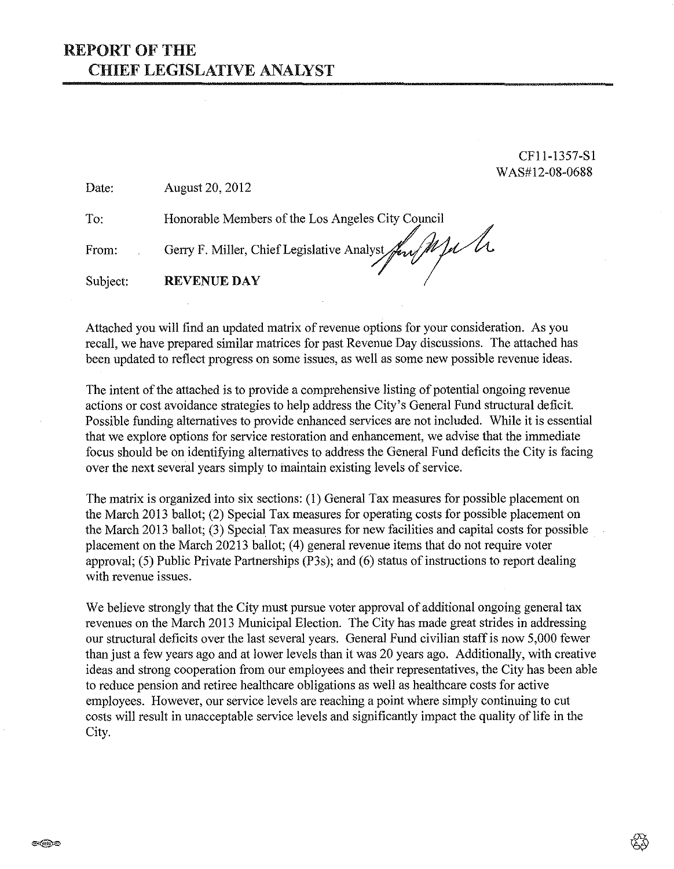CFll-1357-Sl W AS#l2-08-0688

Date: August 20, 2012

To: Honorable Members of the Los Angeles City Council

From: From: Gerry F. Miller, Chief Legislative Analyst *for MIA*<br>Subject: **REVENUE DAY** 

Attached you will find an updated matrix of revenue options for your consideration. As you recall, we have prepared similar matrices for past Revenue Day discussions. The attached has been updated to reflect progress on some issues, as well as some new possible revenue ideas.

The intent of the attached is to provide a comprehensive listing of potential ongoing revenue actions or cost avoidance strategies to help address the City's General Fund structural deficit. Possible funding alternatives to provide enhanced services are not included. While it is essential that we explore options for service restoration and enhancement, we advise that the immediate focus should be on identifying alternatives to address the General Fund deficits the City is facing over the next several years simply to maintain existing levels of service.

The matrix is organized into six sections: (I) General Tax measures for possible placement on the March 2013 ballot; (2) Special Tax measures for operating costs for possible placement on the March 2013 ballot; (3) Special Tax measures for new facilities and capital costs for possible placement on the March 20213 ballot; (4) general revenue items that do not require voter approval; (5) Public Private Partnerships (P3s); and (6) status of instructions to report dealing with revenue issues.

We believe strongly that the City must pursue voter approval of additional ongoing general tax revenues on the March 2013 Municipal Election. The City has made great strides in addressing our structural deficits over the last several years. General Fund civilian staff is now 5,000 fewer than just a few years ago and at lower levels than it was 20 years ago. Additionally, with creative ideas and strong cooperation from our employees and their representatives, the City has been able to reduce pension and retiree healthcare obligations as well as healthcare costs for active employees. However, our service levels are reaching a point where simply continuing to cut costs will result in unacceptable service levels and significantly impact the quality of life in the City.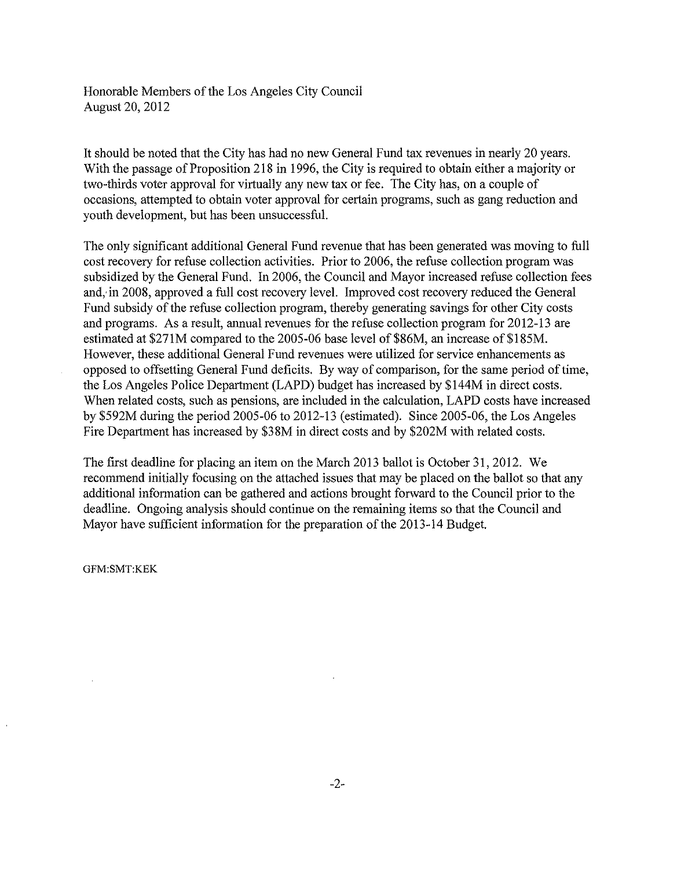Honorable Members of the Los Angeles City Council August 20, 2012

It should be noted that the City has had no new General Fund tax revenues in nearly 20 years. With the passage of Proposition 218 in 1996, the City is required to obtain either a majority or two-thirds voter approval for virtually any new tax or fee. The City has, on a couple of occasions, attempted to obtain voter approval for certain programs, such as gang reduction and youth development, but has been unsuccessful.

The only significant additional General Fund revenue that has been generated was moving to full cost recovery for refuse collection activities. Prior to 2006, the refuse collection program was subsidized by the General Fund. In 2006, the Council and Mayor increased refuse collection fees and, in 2008, approved a full cost recovery level. Improved cost recovery reduced the General Fund subsidy of the refuse collection program, thereby generating savings for other City costs and programs. As a result, annual revenues for the refuse collection program for 2012-13 are estimated at \$271M compared to the 2005-06 base level of \$86M, an increase of \$185M. However, these additional General Fund revenues were utilized for service enhancements as opposed to offsetting General Fund deficits. By way of comparison, for the same period of time, the Los Angeles Police Department (LAPD) budget has increased by \$144M in direct costs. When related costs, such as pensions, are included in the calculation, LAPD costs have increased by \$592M during the period 2005-06 to 2012-13 (estimated). Since 2005-06, the Los Angeles Fire Department has increased by \$38M in direct costs and by \$202M with related costs.

The first deadline for placing an item on the March 2013 ballot is October 31,2012. We recommend initially focusing on the attached issues that may be placed on the ballot so that any additional information can be gathered and actions brought forward to the Council prior to the deadline. Ongoing analysis should continue on the remaining items so that the Council and Mayor have sufficient infonnation for the preparation of the 2013-14 Budget.

GFM:SMT:KEK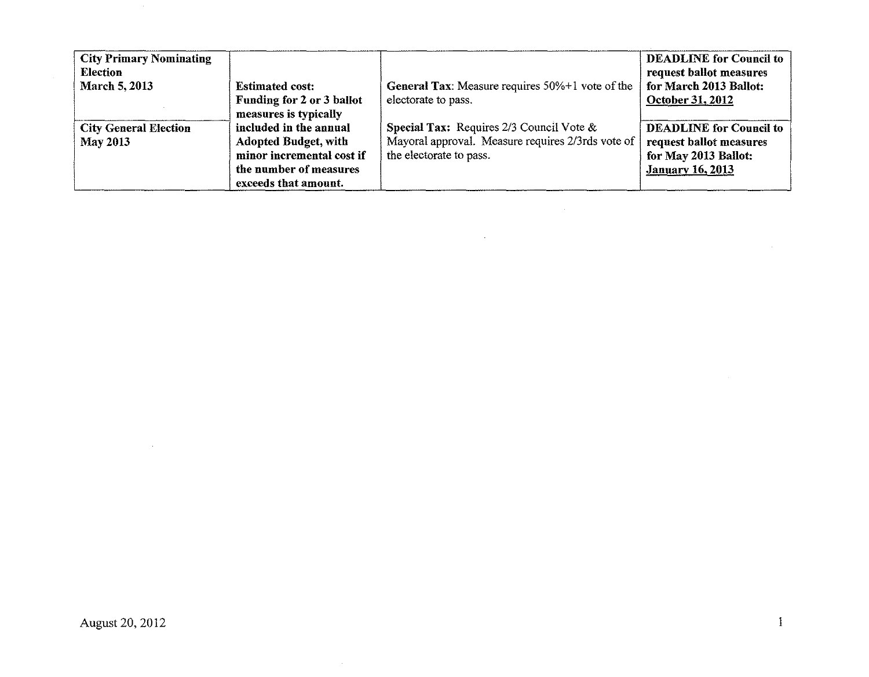| <b>City Primary Nominating</b><br><b>Election</b> |                             |                                                    | <b>DEADLINE</b> for Council to<br>request ballot measures |
|---------------------------------------------------|-----------------------------|----------------------------------------------------|-----------------------------------------------------------|
| <b>March 5, 2013</b>                              | <b>Estimated cost:</b>      | General Tax: Measure requires 50%+1 vote of the    | for March 2013 Ballot:                                    |
|                                                   | Funding for 2 or 3 ballot   | electorate to pass.                                | October 31, 2012                                          |
|                                                   | measures is typically       |                                                    |                                                           |
| <b>City General Election</b>                      | included in the annual      | <b>Special Tax:</b> Requires 2/3 Council Vote $\&$ | <b>DEADLINE</b> for Council to                            |
| <b>May 2013</b>                                   | <b>Adopted Budget, with</b> | Mayoral approval. Measure requires 2/3rds vote of  | request ballot measures                                   |
|                                                   | minor incremental cost if   | the electorate to pass.                            | for May 2013 Ballot:                                      |
|                                                   | the number of measures      |                                                    | <b>January 16, 2013</b>                                   |
|                                                   | exceeds that amount.        |                                                    |                                                           |

 $\mathcal{L}_{\mathcal{A}}$ 

 $\sim$ 

 $\sim$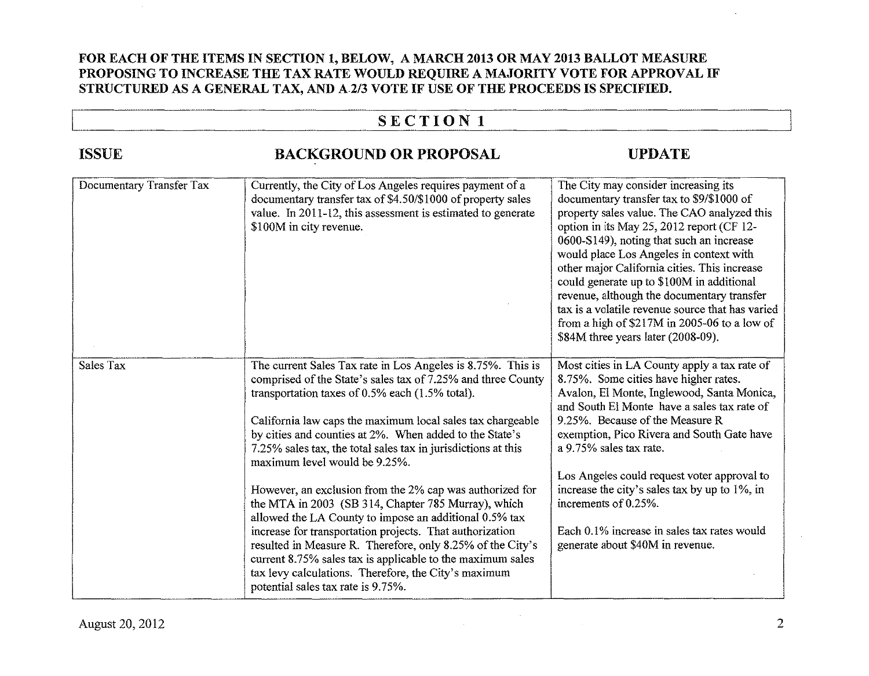### FOR EACH OF THE ITEMS IN SECTION 1, BELOW, A MARCH 2013 OR MAY 2013 BALLOT MEASURE PROPOSING TO INCREASE THE TAX RATE WOULD REQUIRE A MAJORITY VOTE FOR APPROVAL IF STRUCTURED AS A GENERAL TAX, AND A2/3 VOTE IF USE OF THE PROCEEDS IS SPECIFIED.

# $\frac{1}{\sqrt{N}}$

| <b>ISSUE</b>             | <b>BACKGROUND OR PROPOSAL</b>                                                                                                                                                                                                                                                                                                                                                                                                                                                                                                                                                                                                                                                                                                                                                                                                                                                | <b>UPDATE</b>                                                                                                                                                                                                                                                                                                                                                                                                                                                                                                                                             |
|--------------------------|------------------------------------------------------------------------------------------------------------------------------------------------------------------------------------------------------------------------------------------------------------------------------------------------------------------------------------------------------------------------------------------------------------------------------------------------------------------------------------------------------------------------------------------------------------------------------------------------------------------------------------------------------------------------------------------------------------------------------------------------------------------------------------------------------------------------------------------------------------------------------|-----------------------------------------------------------------------------------------------------------------------------------------------------------------------------------------------------------------------------------------------------------------------------------------------------------------------------------------------------------------------------------------------------------------------------------------------------------------------------------------------------------------------------------------------------------|
| Documentary Transfer Tax | Currently, the City of Los Angeles requires payment of a<br>documentary transfer tax of \$4.50/\$1000 of property sales<br>value. In 2011-12, this assessment is estimated to generate<br>\$100M in city revenue.                                                                                                                                                                                                                                                                                                                                                                                                                                                                                                                                                                                                                                                            | The City may consider increasing its<br>documentary transfer tax to \$9/\$1000 of<br>property sales value. The CAO analyzed this<br>option in its May 25, 2012 report (CF 12-<br>0600-S149), noting that such an increase<br>would place Los Angeles in context with<br>other major California cities. This increase<br>could generate up to \$100M in additional<br>revenue, although the documentary transfer<br>tax is a volatile revenue source that has varied<br>from a high of \$217M in 2005-06 to a low of<br>\$84M three years later (2008-09). |
| Sales Tax                | The current Sales Tax rate in Los Angeles is 8.75%. This is<br>comprised of the State's sales tax of 7.25% and three County<br>transportation taxes of 0.5% each (1.5% total).<br>California law caps the maximum local sales tax chargeable<br>by cities and counties at 2%. When added to the State's<br>7.25% sales tax, the total sales tax in jurisdictions at this<br>maximum level would be 9.25%.<br>However, an exclusion from the 2% cap was authorized for<br>the MTA in 2003 (SB 314, Chapter 785 Murray), which<br>allowed the LA County to impose an additional 0.5% tax<br>increase for transportation projects. That authorization<br>resulted in Measure R. Therefore, only 8.25% of the City's<br>current 8.75% sales tax is applicable to the maximum sales<br>tax levy calculations. Therefore, the City's maximum<br>potential sales tax rate is 9.75%. | Most cities in LA County apply a tax rate of<br>8.75%. Some cities have higher rates.<br>Avalon, El Monte, Inglewood, Santa Monica,<br>and South El Monte have a sales tax rate of<br>9.25%. Because of the Measure R<br>exemption, Pico Rivera and South Gate have<br>a 9.75% sales tax rate.<br>Los Angeles could request voter approval to<br>increase the city's sales tax by up to 1%, in<br>increments of 0.25%.<br>Each 0.1% increase in sales tax rates would<br>generate about \$40M in revenue.                                                 |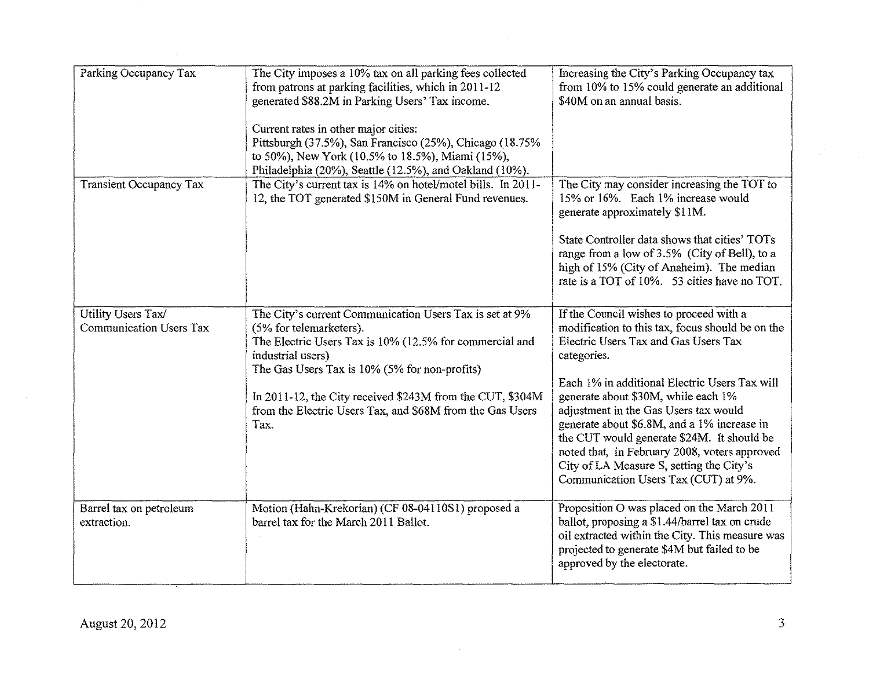| Parking Occupancy Tax                         | The City imposes a 10% tax on all parking fees collected<br>from patrons at parking facilities, which in 2011-12<br>generated \$88.2M in Parking Users' Tax income.<br>Current rates in other major cities:<br>Pittsburgh (37.5%), San Francisco (25%), Chicago (18.75%<br>to 50%), New York (10.5% to 18.5%), Miami (15%),<br>Philadelphia (20%), Seattle (12.5%), and Oakland (10%). | Increasing the City's Parking Occupancy tax<br>from 10% to 15% could generate an additional<br>\$40M on an annual basis.                                                                                                                                                                                                                                                                                                                                                                                              |
|-----------------------------------------------|----------------------------------------------------------------------------------------------------------------------------------------------------------------------------------------------------------------------------------------------------------------------------------------------------------------------------------------------------------------------------------------|-----------------------------------------------------------------------------------------------------------------------------------------------------------------------------------------------------------------------------------------------------------------------------------------------------------------------------------------------------------------------------------------------------------------------------------------------------------------------------------------------------------------------|
| <b>Transient Occupancy Tax</b>                | The City's current tax is 14% on hotel/motel bills. In 2011-<br>12, the TOT generated \$150M in General Fund revenues.                                                                                                                                                                                                                                                                 | The City may consider increasing the TOT to<br>15% or 16%. Each 1% increase would<br>generate approximately \$11M.<br>State Controller data shows that cities' TOTs<br>range from a low of 3.5% (City of Bell), to a<br>high of 15% (City of Anaheim). The median<br>rate is a TOT of 10%. 53 cities have no TOT.                                                                                                                                                                                                     |
| Utility Users Tax/<br>Communication Users Tax | The City's current Communication Users Tax is set at 9%<br>(5% for telemarketers).<br>The Electric Users Tax is 10% (12.5% for commercial and<br>industrial users)<br>The Gas Users Tax is 10% (5% for non-profits)<br>In 2011-12, the City received \$243M from the CUT, \$304M<br>from the Electric Users Tax, and \$68M from the Gas Users<br>Tax.                                  | If the Council wishes to proceed with a<br>modification to this tax, focus should be on the<br>Electric Users Tax and Gas Users Tax<br>categories.<br>Each 1% in additional Electric Users Tax will<br>generate about \$30M, while each 1%<br>adjustment in the Gas Users tax would<br>generate about \$6.8M, and a 1% increase in<br>the CUT would generate \$24M. It should be<br>noted that, in February 2008, voters approved<br>City of LA Measure S, setting the City's<br>Communication Users Tax (CUT) at 9%. |
| Barrel tax on petroleum<br>extraction.        | Motion (Hahn-Krekorian) (CF 08-04110S1) proposed a<br>barrel tax for the March 2011 Ballot.                                                                                                                                                                                                                                                                                            | Proposition O was placed on the March 2011<br>ballot, proposing a \$1.44/barrel tax on crude<br>oil extracted within the City. This measure was<br>projected to generate \$4M but failed to be<br>approved by the electorate.                                                                                                                                                                                                                                                                                         |

 $\bar{q}$ 

 $\label{eq:2.1} \frac{1}{\sqrt{2}}\sum_{i=1}^n\frac{1}{\sqrt{2\pi}}\sum_{i=1}^n\frac{1}{\sqrt{2\pi}}\sum_{i=1}^n\frac{1}{\sqrt{2\pi}}\sum_{i=1}^n\frac{1}{\sqrt{2\pi}}\sum_{i=1}^n\frac{1}{\sqrt{2\pi}}\sum_{i=1}^n\frac{1}{\sqrt{2\pi}}\sum_{i=1}^n\frac{1}{\sqrt{2\pi}}\sum_{i=1}^n\frac{1}{\sqrt{2\pi}}\sum_{i=1}^n\frac{1}{\sqrt{2\pi}}\sum_{i=1}^n\frac{$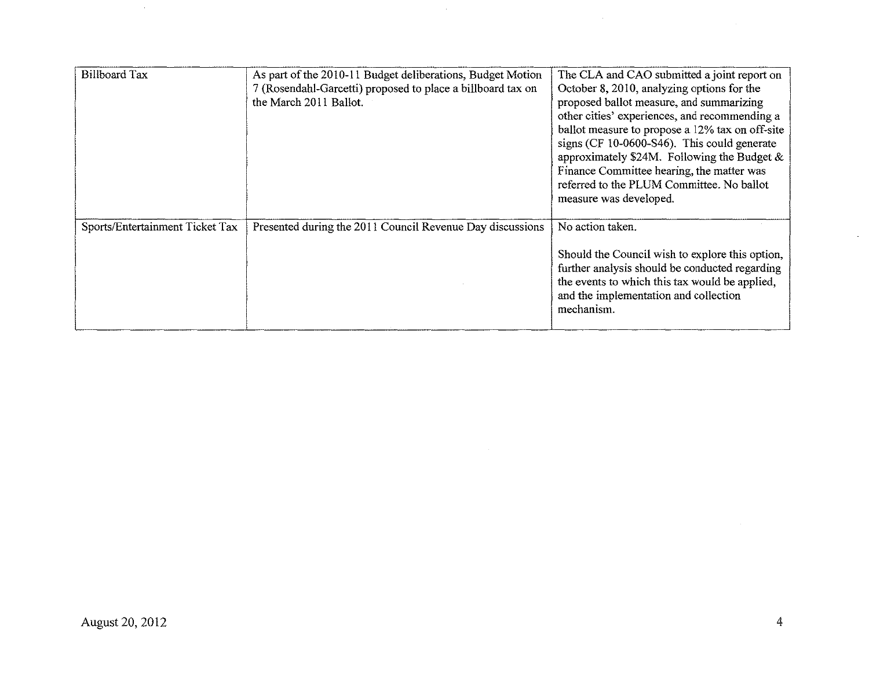| <b>Billboard Tax</b>            | As part of the 2010-11 Budget deliberations, Budget Motion<br>7 (Rosendahl-Garcetti) proposed to place a billboard tax on<br>the March 2011 Ballot. | The CLA and CAO submitted a joint report on<br>October 8, 2010, analyzing options for the<br>proposed ballot measure, and summarizing<br>other cities' experiences, and recommending a<br>ballot measure to propose a 12% tax on off-site<br>signs (CF 10-0600-S46). This could generate<br>approximately \$24M. Following the Budget $\&$<br>Finance Committee hearing, the matter was<br>referred to the PLUM Committee. No ballot<br>measure was developed. |
|---------------------------------|-----------------------------------------------------------------------------------------------------------------------------------------------------|----------------------------------------------------------------------------------------------------------------------------------------------------------------------------------------------------------------------------------------------------------------------------------------------------------------------------------------------------------------------------------------------------------------------------------------------------------------|
| Sports/Entertainment Ticket Tax | Presented during the 2011 Council Revenue Day discussions                                                                                           | No action taken.<br>Should the Council wish to explore this option,<br>further analysis should be conducted regarding<br>the events to which this tax would be applied,<br>and the implementation and collection<br>mechanism.                                                                                                                                                                                                                                 |

 $\mathcal{L}_{\mathbf{X}}$  .

 $\sim$ 

 $\hat{\mathcal{A}}$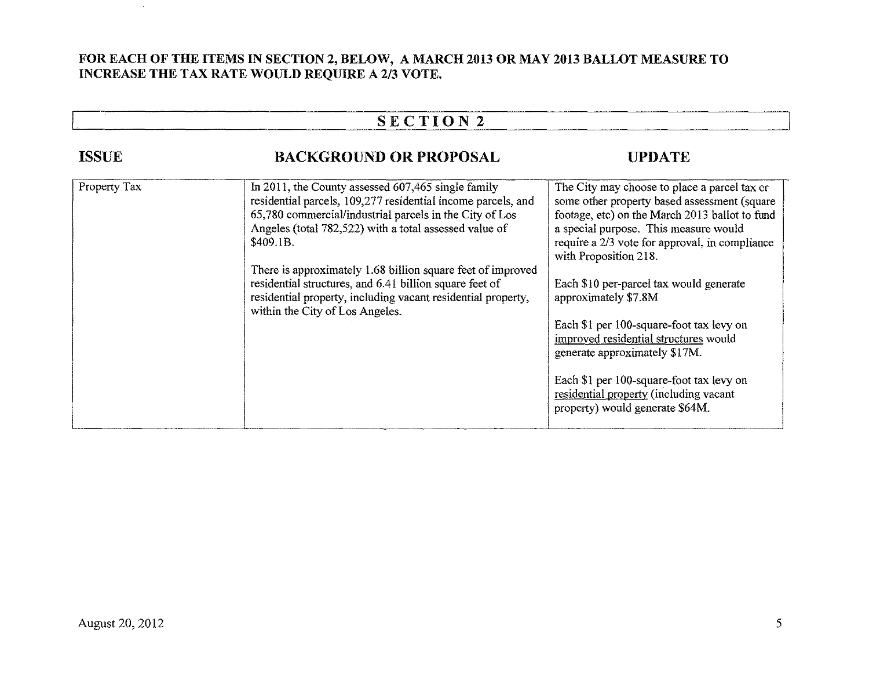### **FOR EACH OF THE ITEMS IN SECTION 2, BELOW, A MARCH 2013 OR MAY 2013 BALLOT MEASURE TO INCREASE THE TAX RATE WOULD REQUIRE A 2/3 VOTE.**

|              | <b>SECTION2</b>                                                                                                                                                                                                                                                                                                                                                                                                                                                                     |                                                                                                                                                                                                                                                                                                                                                                                                                                                                                                                                                   |  |
|--------------|-------------------------------------------------------------------------------------------------------------------------------------------------------------------------------------------------------------------------------------------------------------------------------------------------------------------------------------------------------------------------------------------------------------------------------------------------------------------------------------|---------------------------------------------------------------------------------------------------------------------------------------------------------------------------------------------------------------------------------------------------------------------------------------------------------------------------------------------------------------------------------------------------------------------------------------------------------------------------------------------------------------------------------------------------|--|
| <b>ISSUE</b> | <b>BACKGROUND OR PROPOSAL</b>                                                                                                                                                                                                                                                                                                                                                                                                                                                       | <b>UPDATE</b>                                                                                                                                                                                                                                                                                                                                                                                                                                                                                                                                     |  |
| Property Tax | In 2011, the County assessed $607,465$ single family<br>residential parcels, 109,277 residential income parcels, and<br>65,780 commercial/industrial parcels in the City of Los<br>Angeles (total 782,522) with a total assessed value of<br>\$409.1B.<br>There is approximately 1.68 billion square feet of improved<br>residential structures, and 6.41 billion square feet of<br>residential property, including vacant residential property,<br>within the City of Los Angeles. | The City may choose to place a parcel tax or<br>some other property based assessment (square<br>footage, etc) on the March 2013 ballot to fund<br>a special purpose. This measure would<br>require a 2/3 vote for approval, in compliance<br>with Proposition 218.<br>Each \$10 per-parcel tax would generate<br>approximately \$7.8M<br>Each \$1 per 100-square-foot tax levy on<br>improved residential structures would<br>generate approximately \$17M.<br>Each \$1 per 100-square-foot tax levy on<br>residential property (including vacant |  |

·---

·--

 $\sim$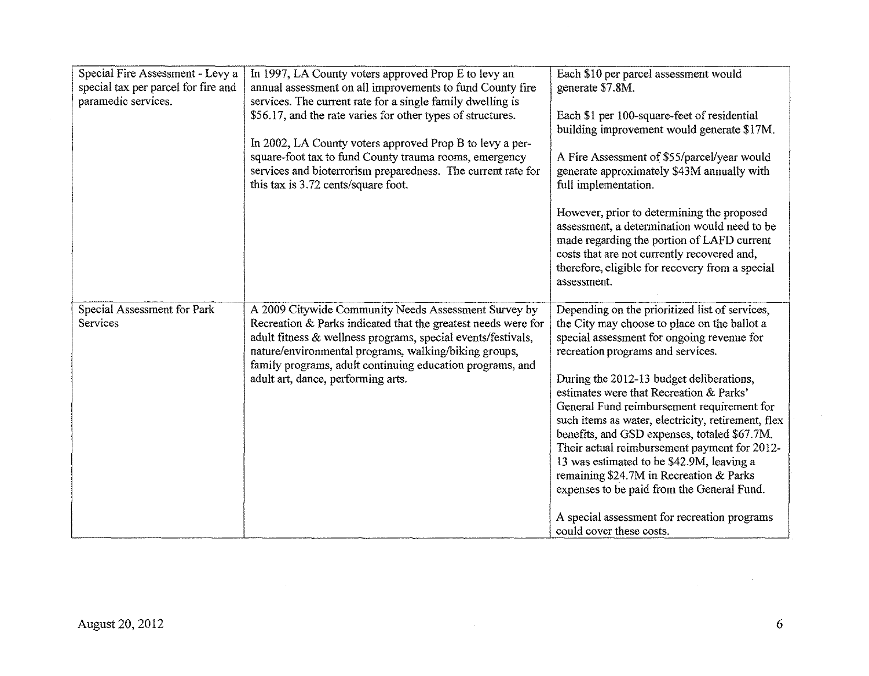| Special Fire Assessment - Levy a<br>special tax per parcel for fire and<br>paramedic services. | In 1997, LA County voters approved Prop E to levy an<br>annual assessment on all improvements to fund County fire<br>services. The current rate for a single family dwelling is<br>\$56.17, and the rate varies for other types of structures.<br>In 2002, LA County voters approved Prop B to levy a per-<br>square-foot tax to fund County trauma rooms, emergency<br>services and bioterrorism preparedness. The current rate for<br>this tax is 3.72 cents/square foot. | Each \$10 per parcel assessment would<br>generate \$7.8M.<br>Each \$1 per 100-square-feet of residential<br>building improvement would generate \$17M.<br>A Fire Assessment of \$55/parcel/year would<br>generate approximately \$43M annually with<br>full implementation.<br>However, prior to determining the proposed<br>assessment, a determination would need to be<br>made regarding the portion of LAFD current<br>costs that are not currently recovered and,<br>therefore, eligible for recovery from a special<br>assessment.                                                                                                                                                       |
|------------------------------------------------------------------------------------------------|-----------------------------------------------------------------------------------------------------------------------------------------------------------------------------------------------------------------------------------------------------------------------------------------------------------------------------------------------------------------------------------------------------------------------------------------------------------------------------|------------------------------------------------------------------------------------------------------------------------------------------------------------------------------------------------------------------------------------------------------------------------------------------------------------------------------------------------------------------------------------------------------------------------------------------------------------------------------------------------------------------------------------------------------------------------------------------------------------------------------------------------------------------------------------------------|
| Special Assessment for Park<br>Services                                                        | A 2009 Citywide Community Needs Assessment Survey by<br>Recreation & Parks indicated that the greatest needs were for<br>adult fitness & wellness programs, special events/festivals,<br>nature/environmental programs, walking/biking groups,<br>family programs, adult continuing education programs, and<br>adult art, dance, performing arts.                                                                                                                           | Depending on the prioritized list of services,<br>the City may choose to place on the ballot a<br>special assessment for ongoing revenue for<br>recreation programs and services.<br>During the 2012-13 budget deliberations,<br>estimates were that Recreation & Parks'<br>General Fund reimbursement requirement for<br>such items as water, electricity, retirement, flex<br>benefits, and GSD expenses, totaled \$67.7M.<br>Their actual reimbursement payment for 2012-<br>13 was estimated to be \$42.9M, leaving a<br>remaining \$24.7M in Recreation & Parks<br>expenses to be paid from the General Fund.<br>A special assessment for recreation programs<br>could cover these costs. |

 $\sim$ 

 $\mathcal{L}^{\text{max}}_{\text{max}}$  and  $\mathcal{L}^{\text{max}}_{\text{max}}$ 

 $\sim 10^6$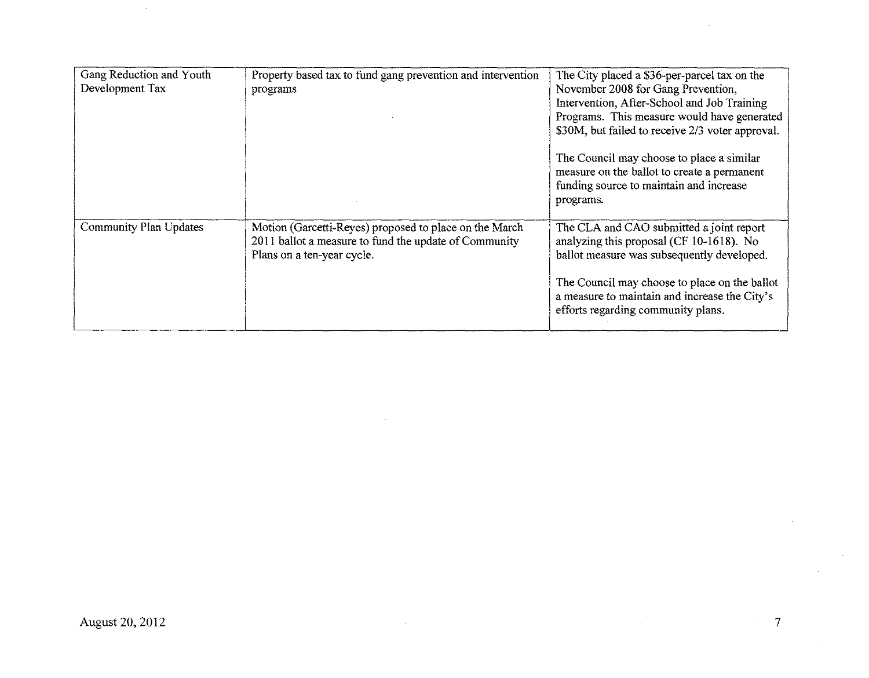| Gang Reduction and Youth<br>Development Tax | Property based tax to fund gang prevention and intervention<br>programs                                                                       | The City placed a \$36-per-parcel tax on the<br>November 2008 for Gang Prevention,<br>Intervention, After-School and Job Training<br>Programs. This measure would have generated<br>\$30M, but failed to receive 2/3 voter approval.<br>The Council may choose to place a similar<br>measure on the ballot to create a permanent<br>funding source to maintain and increase |
|---------------------------------------------|-----------------------------------------------------------------------------------------------------------------------------------------------|-----------------------------------------------------------------------------------------------------------------------------------------------------------------------------------------------------------------------------------------------------------------------------------------------------------------------------------------------------------------------------|
| <b>Community Plan Updates</b>               | Motion (Garcetti-Reyes) proposed to place on the March<br>2011 ballot a measure to fund the update of Community<br>Plans on a ten-year cycle. | programs.<br>The CLA and CAO submitted a joint report<br>analyzing this proposal (CF 10-1618). No<br>ballot measure was subsequently developed.<br>The Council may choose to place on the ballot<br>a measure to maintain and increase the City's<br>efforts regarding community plans.                                                                                     |

 $\sim$ 

 $\mathcal{A}^{\mathcal{A}}$ 

 $\sim$ 

 $\sim$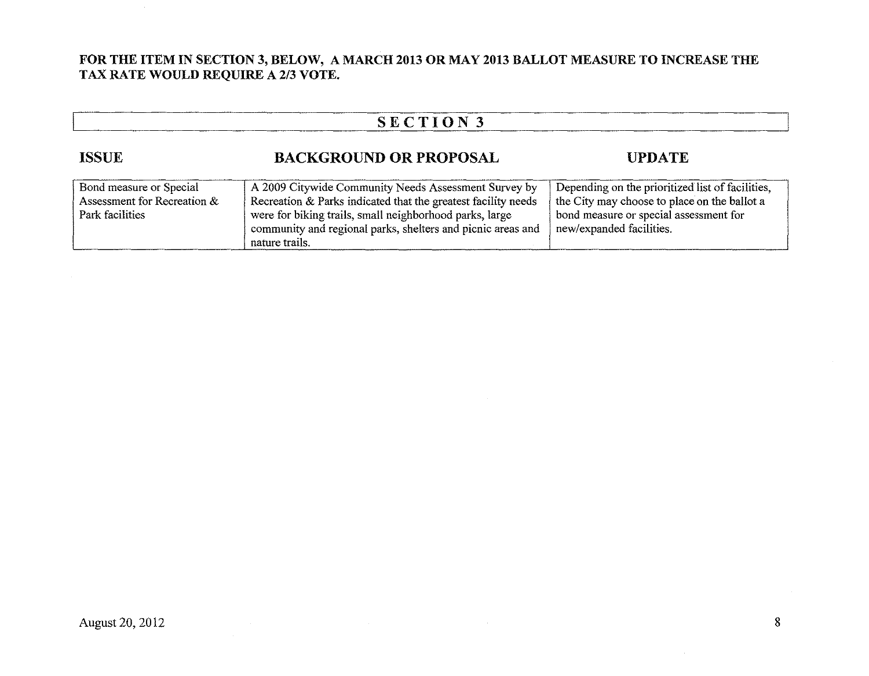#### **FOR THE ITEM IN SECTION 3, BELOW, A MARCH 2013 OR MAY 2013 BALLOT MEASURE TO INCREASE THE TAX RATE WOULD REQUIRE A 2/3 VOTE.**

| SECTION 3                                                                 |                                                                                                                                                                                                                                                                   |                                                                                                                                                                        |  |
|---------------------------------------------------------------------------|-------------------------------------------------------------------------------------------------------------------------------------------------------------------------------------------------------------------------------------------------------------------|------------------------------------------------------------------------------------------------------------------------------------------------------------------------|--|
| <b>ISSUE</b>                                                              | <b>BACKGROUND OR PROPOSAL</b>                                                                                                                                                                                                                                     | <b>UPDATE</b>                                                                                                                                                          |  |
| Bond measure or Special<br>Assessment for Recreation &<br>Park facilities | A 2009 Citywide Community Needs Assessment Survey by<br>Recreation & Parks indicated that the greatest facility needs<br>were for biking trails, small neighborhood parks, large<br>community and regional parks, shelters and picnic areas and<br>nature trails. | Depending on the prioritized list of facilities,<br>the City may choose to place on the ballot a<br>bond measure or special assessment for<br>new/expanded facilities. |  |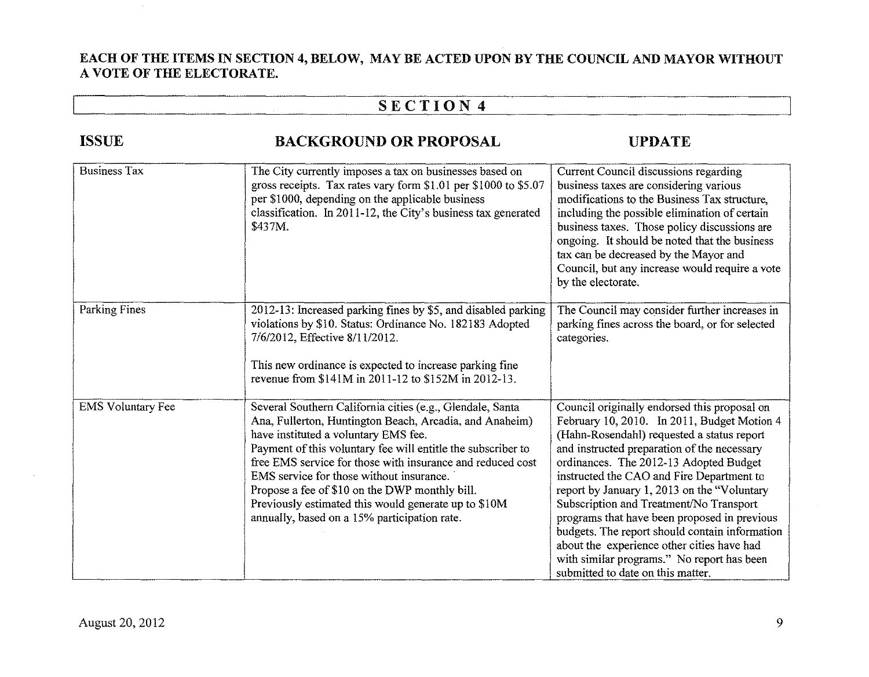#### **EACH OF THE ITEMS IN SECTION 4, BELOW, MAY BE ACTED UPON BY THE COUNCIL AND MAYOR WITHOUT A VOTE OF THE ELECTORATE.**

# I **SECTION 4** I

| <b>ISSUE</b>             | <b>BACKGROUND OR PROPOSAL</b>                                                                                                                                                                                                                                                                                                                                                                                                                                                                    | UPDATE                                                                                                                                                                                                                                                                                                                                                                                                                                                                                                                                                                                                       |
|--------------------------|--------------------------------------------------------------------------------------------------------------------------------------------------------------------------------------------------------------------------------------------------------------------------------------------------------------------------------------------------------------------------------------------------------------------------------------------------------------------------------------------------|--------------------------------------------------------------------------------------------------------------------------------------------------------------------------------------------------------------------------------------------------------------------------------------------------------------------------------------------------------------------------------------------------------------------------------------------------------------------------------------------------------------------------------------------------------------------------------------------------------------|
| <b>Business Tax</b>      | The City currently imposes a tax on businesses based on<br>gross receipts. Tax rates vary form \$1.01 per \$1000 to \$5.07<br>per \$1000, depending on the applicable business<br>classification. In 2011-12, the City's business tax generated<br>\$437M.                                                                                                                                                                                                                                       | Current Council discussions regarding<br>business taxes are considering various<br>modifications to the Business Tax structure,<br>including the possible elimination of certain<br>business taxes. Those policy discussions are<br>ongoing. It should be noted that the business<br>tax can be decreased by the Mayor and<br>Council, but any increase would require a vote<br>by the electorate.                                                                                                                                                                                                           |
| Parking Fines            | 2012-13: Increased parking fines by \$5, and disabled parking<br>violations by \$10. Status: Ordinance No. 182183 Adopted<br>7/6/2012, Effective 8/11/2012.<br>This new ordinance is expected to increase parking fine<br>revenue from \$141M in 2011-12 to \$152M in 2012-13.                                                                                                                                                                                                                   | The Council may consider further increases in<br>parking fines across the board, or for selected<br>categories.                                                                                                                                                                                                                                                                                                                                                                                                                                                                                              |
| <b>EMS</b> Voluntary Fee | Several Southern California cities (e.g., Glendale, Santa<br>Ana, Fullerton, Huntington Beach, Arcadia, and Anaheim)<br>have instituted a voluntary EMS fee.<br>Payment of this voluntary fee will entitle the subscriber to<br>free EMS service for those with insurance and reduced cost<br>EMS service for those without insurance.<br>Propose a fee of \$10 on the DWP monthly bill.<br>Previously estimated this would generate up to \$10M<br>annually, based on a 15% participation rate. | Council originally endorsed this proposal on<br>February 10, 2010. In 2011, Budget Motion 4<br>(Hahn-Rosendahl) requested a status report<br>and instructed preparation of the necessary<br>ordinances. The 2012-13 Adopted Budget<br>instructed the CAO and Fire Department to<br>report by January 1, 2013 on the "Voluntary<br>Subscription and Treatment/No Transport<br>programs that have been proposed in previous<br>budgets. The report should contain information<br>about the experience other cities have had<br>with similar programs." No report has been<br>submitted to date on this matter. |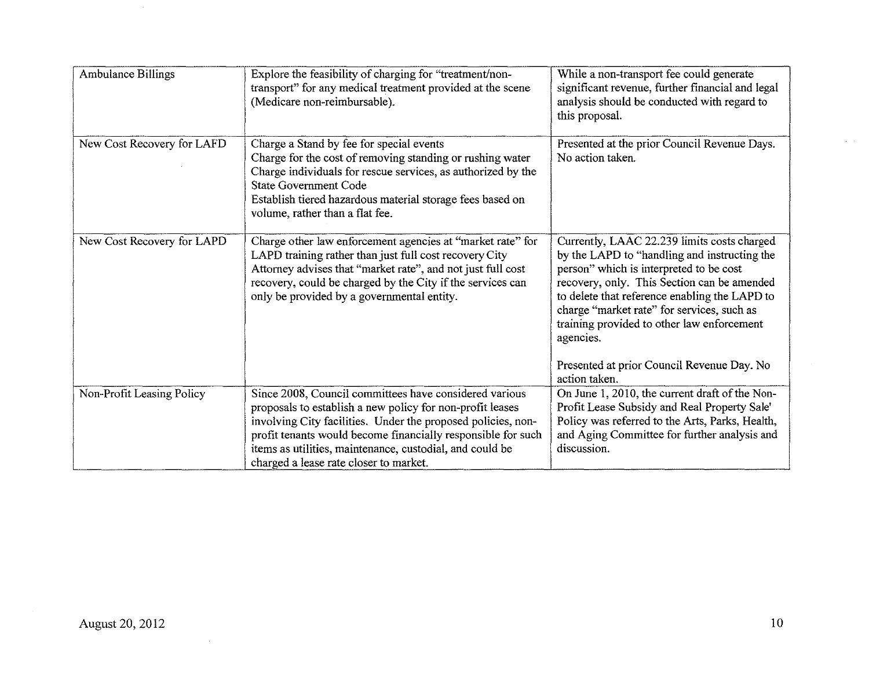| <b>Ambulance Billings</b>  | Explore the feasibility of charging for "treatment/non-<br>transport" for any medical treatment provided at the scene<br>(Medicare non-reimbursable).                                                                                                                                                                                                     | While a non-transport fee could generate<br>significant revenue, further financial and legal<br>analysis should be conducted with regard to<br>this proposal.                                                                                                                                                                                                                                                  |
|----------------------------|-----------------------------------------------------------------------------------------------------------------------------------------------------------------------------------------------------------------------------------------------------------------------------------------------------------------------------------------------------------|----------------------------------------------------------------------------------------------------------------------------------------------------------------------------------------------------------------------------------------------------------------------------------------------------------------------------------------------------------------------------------------------------------------|
| New Cost Recovery for LAFD | Charge a Stand by fee for special events<br>Charge for the cost of removing standing or rushing water<br>Charge individuals for rescue services, as authorized by the<br><b>State Government Code</b><br>Establish tiered hazardous material storage fees based on<br>volume, rather than a flat fee.                                                     | Presented at the prior Council Revenue Days.<br>No action taken.                                                                                                                                                                                                                                                                                                                                               |
| New Cost Recovery for LAPD | Charge other law enforcement agencies at "market rate" for<br>LAPD training rather than just full cost recovery City<br>Attorney advises that "market rate", and not just full cost<br>recovery, could be charged by the City if the services can<br>only be provided by a governmental entity.                                                           | Currently, LAAC 22.239 limits costs charged<br>by the LAPD to "handling and instructing the<br>person" which is interpreted to be cost<br>recovery, only. This Section can be amended<br>to delete that reference enabling the LAPD to<br>charge "market rate" for services, such as<br>training provided to other law enforcement<br>agencies.<br>Presented at prior Council Revenue Day. No<br>action taken. |
| Non-Profit Leasing Policy  | Since 2008, Council committees have considered various<br>proposals to establish a new policy for non-profit leases<br>involving City facilities. Under the proposed policies, non-<br>profit tenants would become financially responsible for such<br>items as utilities, maintenance, custodial, and could be<br>charged a lease rate closer to market. | On June 1, 2010, the current draft of the Non-<br>Profit Lease Subsidy and Real Property Sale'<br>Policy was referred to the Arts, Parks, Health,<br>and Aging Committee for further analysis and<br>discussion.                                                                                                                                                                                               |

 $\sim 10^7$ 

 $\sim$ 

 $\omega = \omega$  .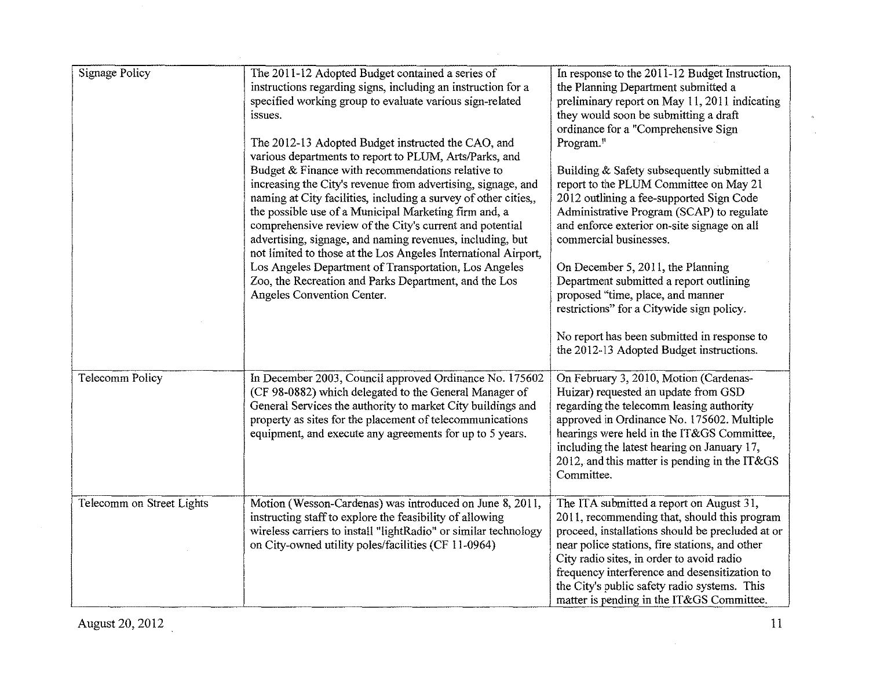| <b>Signage Policy</b>     | The 2011-12 Adopted Budget contained a series of<br>instructions regarding signs, including an instruction for a<br>specified working group to evaluate various sign-related<br>issues.<br>The 2012-13 Adopted Budget instructed the CAO, and<br>various departments to report to PLUM, Arts/Parks, and<br>Budget & Finance with recommendations relative to<br>increasing the City's revenue from advertising, signage, and<br>naming at City facilities, including a survey of other cities,,<br>the possible use of a Municipal Marketing firm and, a<br>comprehensive review of the City's current and potential<br>advertising, signage, and naming revenues, including, but<br>not limited to those at the Los Angeles International Airport,<br>Los Angeles Department of Transportation, Los Angeles<br>Zoo, the Recreation and Parks Department, and the Los<br>Angeles Convention Center. | In response to the 2011-12 Budget Instruction,<br>the Planning Department submitted a<br>preliminary report on May 11, 2011 indicating<br>they would soon be submitting a draft<br>ordinance for a "Comprehensive Sign<br>Program."<br>Building & Safety subsequently submitted a<br>report to the PLUM Committee on May 21<br>2012 outlining a fee-supported Sign Code<br>Administrative Program (SCAP) to regulate<br>and enforce exterior on-site signage on all<br>commercial businesses.<br>On December 5, 2011, the Planning<br>Department submitted a report outlining<br>proposed "time, place, and manner<br>restrictions" for a Citywide sign policy.<br>No report has been submitted in response to<br>the 2012-13 Adopted Budget instructions. |
|---------------------------|-----------------------------------------------------------------------------------------------------------------------------------------------------------------------------------------------------------------------------------------------------------------------------------------------------------------------------------------------------------------------------------------------------------------------------------------------------------------------------------------------------------------------------------------------------------------------------------------------------------------------------------------------------------------------------------------------------------------------------------------------------------------------------------------------------------------------------------------------------------------------------------------------------|------------------------------------------------------------------------------------------------------------------------------------------------------------------------------------------------------------------------------------------------------------------------------------------------------------------------------------------------------------------------------------------------------------------------------------------------------------------------------------------------------------------------------------------------------------------------------------------------------------------------------------------------------------------------------------------------------------------------------------------------------------|
| <b>Telecomm Policy</b>    | In December 2003, Council approved Ordinance No. 175602<br>(CF 98-0882) which delegated to the General Manager of<br>General Services the authority to market City buildings and<br>property as sites for the placement of telecommunications<br>equipment, and execute any agreements for up to 5 years.                                                                                                                                                                                                                                                                                                                                                                                                                                                                                                                                                                                           | On February 3, 2010, Motion (Cardenas-<br>Huizar) requested an update from GSD<br>regarding the telecomm leasing authority<br>approved in Ordinance No. 175602. Multiple<br>hearings were held in the IT&GS Committee,<br>including the latest hearing on January 17,<br>2012, and this matter is pending in the IT&GS<br>Committee.                                                                                                                                                                                                                                                                                                                                                                                                                       |
| Telecomm on Street Lights | Motion (Wesson-Cardenas) was introduced on June 8, 2011,<br>instructing staff to explore the feasibility of allowing<br>wireless carriers to install "lightRadio" or similar technology<br>on City-owned utility poles/facilities (CF 11-0964)                                                                                                                                                                                                                                                                                                                                                                                                                                                                                                                                                                                                                                                      | The ITA submitted a report on August 31,<br>2011, recommending that, should this program<br>proceed, installations should be precluded at or<br>near police stations, fire stations, and other<br>City radio sites, in order to avoid radio<br>frequency interference and desensitization to<br>the City's public safety radio systems. This<br>matter is pending in the IT&GS Committee.                                                                                                                                                                                                                                                                                                                                                                  |

 $\sim 10^7$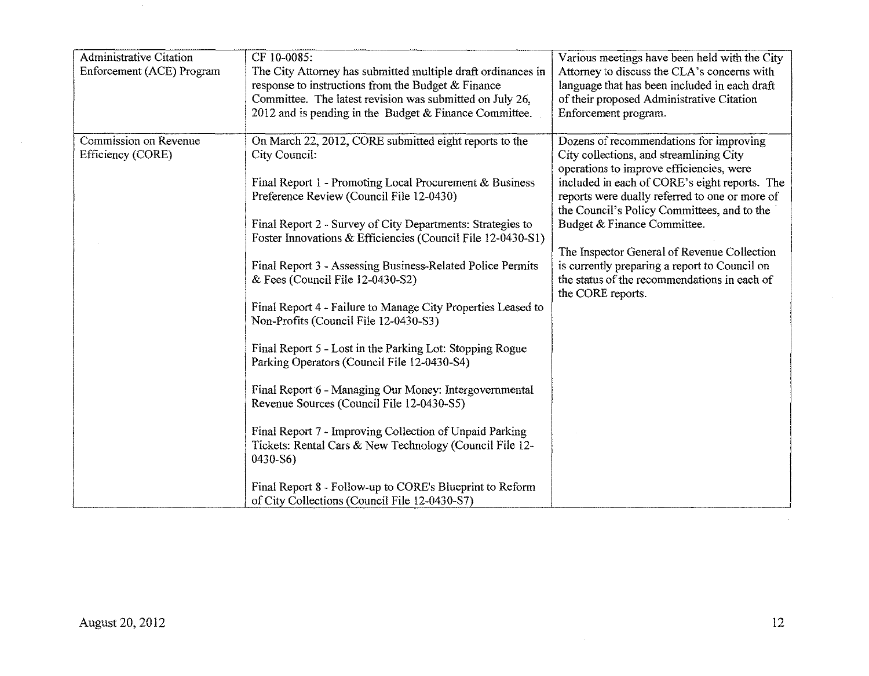| <b>Administrative Citation</b><br>Enforcement (ACE) Program | CF 10-0085:<br>The City Attorney has submitted multiple draft ordinances in<br>response to instructions from the Budget & Finance<br>Committee. The latest revision was submitted on July 26,<br>2012 and is pending in the Budget & Finance Committee. | Various meetings have been held with the City<br>Attorney to discuss the CLA's concerns with<br>language that has been included in each draft<br>of their proposed Administrative Citation<br>Enforcement program. |
|-------------------------------------------------------------|---------------------------------------------------------------------------------------------------------------------------------------------------------------------------------------------------------------------------------------------------------|--------------------------------------------------------------------------------------------------------------------------------------------------------------------------------------------------------------------|
| Commission on Revenue                                       | On March 22, 2012, CORE submitted eight reports to the                                                                                                                                                                                                  | Dozens of recommendations for improving                                                                                                                                                                            |
| Efficiency (CORE)                                           | City Council:                                                                                                                                                                                                                                           | City collections, and streamlining City                                                                                                                                                                            |
|                                                             |                                                                                                                                                                                                                                                         | operations to improve efficiencies, were                                                                                                                                                                           |
|                                                             | Final Report 1 - Promoting Local Procurement & Business                                                                                                                                                                                                 | included in each of CORE's eight reports. The                                                                                                                                                                      |
|                                                             | Preference Review (Council File 12-0430)                                                                                                                                                                                                                | reports were dually referred to one or more of                                                                                                                                                                     |
|                                                             |                                                                                                                                                                                                                                                         | the Council's Policy Committees, and to the                                                                                                                                                                        |
|                                                             | Final Report 2 - Survey of City Departments: Strategies to                                                                                                                                                                                              | Budget & Finance Committee.                                                                                                                                                                                        |
|                                                             | Foster Innovations & Efficiencies (Council File 12-0430-S1)                                                                                                                                                                                             |                                                                                                                                                                                                                    |
|                                                             |                                                                                                                                                                                                                                                         | The Inspector General of Revenue Collection                                                                                                                                                                        |
|                                                             | Final Report 3 - Assessing Business-Related Police Permits                                                                                                                                                                                              | is currently preparing a report to Council on                                                                                                                                                                      |
|                                                             | & Fees (Council File $12-0430-S2$ )                                                                                                                                                                                                                     | the status of the recommendations in each of                                                                                                                                                                       |
|                                                             |                                                                                                                                                                                                                                                         | the CORE reports.                                                                                                                                                                                                  |
|                                                             | Final Report 4 - Failure to Manage City Properties Leased to                                                                                                                                                                                            |                                                                                                                                                                                                                    |
|                                                             | Non-Profits (Council File 12-0430-S3)                                                                                                                                                                                                                   |                                                                                                                                                                                                                    |
|                                                             |                                                                                                                                                                                                                                                         |                                                                                                                                                                                                                    |
|                                                             | Final Report 5 - Lost in the Parking Lot: Stopping Rogue                                                                                                                                                                                                |                                                                                                                                                                                                                    |
|                                                             | Parking Operators (Council File 12-0430-S4)                                                                                                                                                                                                             |                                                                                                                                                                                                                    |
|                                                             |                                                                                                                                                                                                                                                         |                                                                                                                                                                                                                    |
|                                                             | Final Report 6 - Managing Our Money: Intergovernmental                                                                                                                                                                                                  |                                                                                                                                                                                                                    |
|                                                             | Revenue Sources (Council File 12-0430-S5)                                                                                                                                                                                                               |                                                                                                                                                                                                                    |
|                                                             |                                                                                                                                                                                                                                                         |                                                                                                                                                                                                                    |
|                                                             | Final Report 7 - Improving Collection of Unpaid Parking                                                                                                                                                                                                 |                                                                                                                                                                                                                    |
|                                                             | Tickets: Rental Cars & New Technology (Council File 12-                                                                                                                                                                                                 |                                                                                                                                                                                                                    |
|                                                             | $0430 - S6$                                                                                                                                                                                                                                             |                                                                                                                                                                                                                    |
|                                                             | Final Report 8 - Follow-up to CORE's Blueprint to Reform                                                                                                                                                                                                |                                                                                                                                                                                                                    |
|                                                             | of City Collections (Council File 12-0430-S7)                                                                                                                                                                                                           |                                                                                                                                                                                                                    |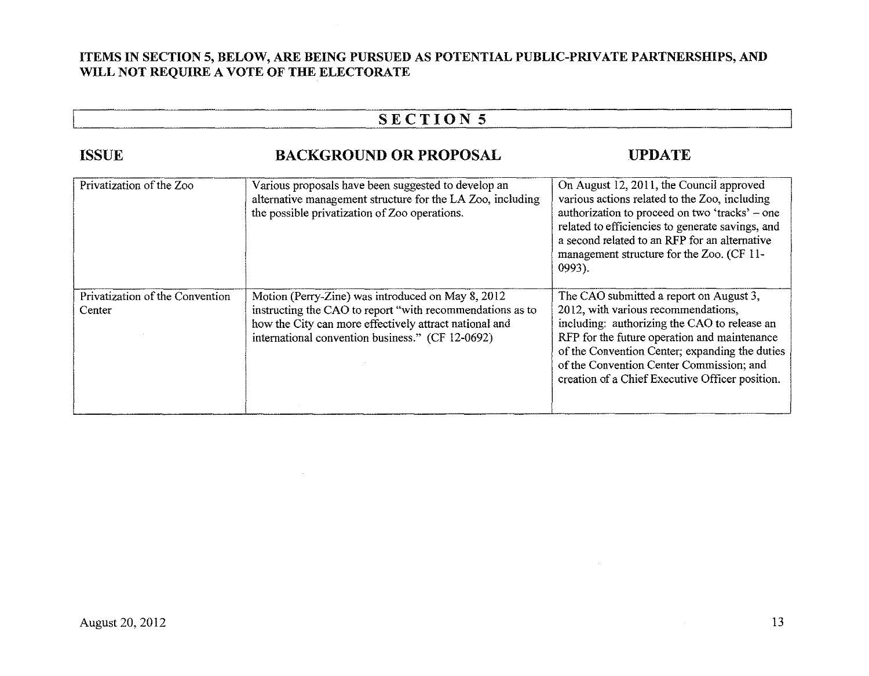### **ITEMS IN SECTION 5, BELOW, ARE BEING PURSUED AS POTENTIAL PUBLIC-PRIVATE PARTNERSHIPS, AND WILL NOT REQUIRE A VOTE OF THE ELECTORATE**

## **SECTION5**

| <b>ISSUE</b>                              | <b>BACKGROUND OR PROPOSAL</b>                                                                                                                                                                                                | <b>UPDATE</b>                                                                                                                                                                                                                                                                                                                   |
|-------------------------------------------|------------------------------------------------------------------------------------------------------------------------------------------------------------------------------------------------------------------------------|---------------------------------------------------------------------------------------------------------------------------------------------------------------------------------------------------------------------------------------------------------------------------------------------------------------------------------|
| Privatization of the Zoo                  | Various proposals have been suggested to develop an<br>alternative management structure for the LA Zoo, including<br>the possible privatization of Zoo operations.                                                           | On August 12, 2011, the Council approved<br>various actions related to the Zoo, including<br>authorization to proceed on two 'tracks' – one<br>related to efficiencies to generate savings, and<br>a second related to an RFP for an alternative<br>management structure for the Zoo. (CF 11-<br>$0993$ ).                      |
| Privatization of the Convention<br>Center | Motion (Perry-Zine) was introduced on May 8, 2012<br>instructing the CAO to report "with recommendations as to<br>how the City can more effectively attract national and<br>international convention business." (CF 12-0692) | The CAO submitted a report on August 3,<br>2012, with various recommendations,<br>including: authorizing the CAO to release an<br>RFP for the future operation and maintenance<br>of the Convention Center; expanding the duties<br>of the Convention Center Commission; and<br>creation of a Chief Executive Officer position. |

=--------

--------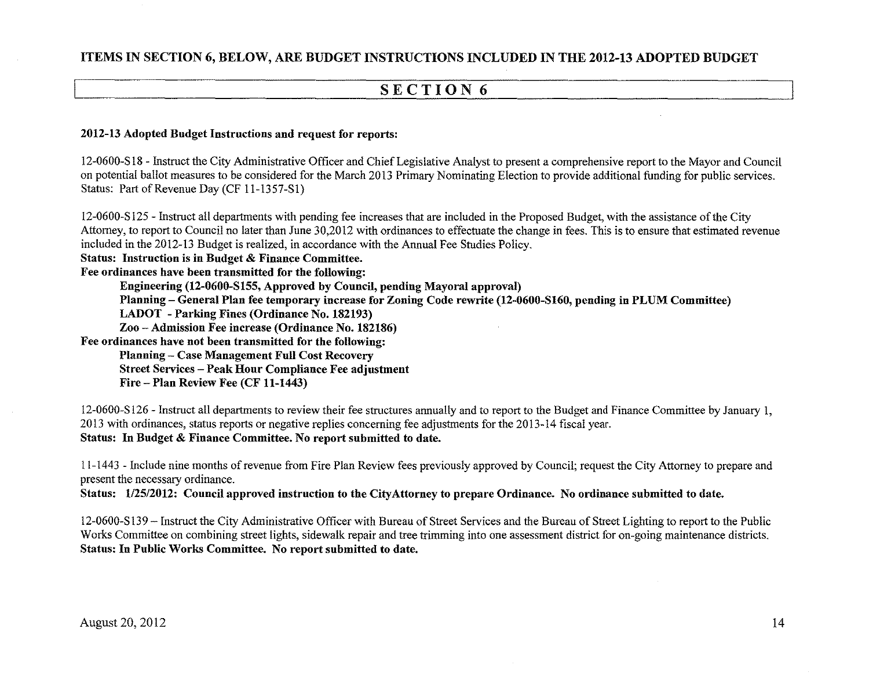## SECTION 6

#### 2012-13 Adopted Budget Instructions and request for reports:

12-0600-S 18 - Instruct the City Administrative Officer and Chief Legislative Analyst to present a comprehensive report to the Mayor and Council on potential ballot measures to be considered for the March 2013 Primary Nominating Election to provide additional funding for public services. Status: Part of Revenue Day (CF 11-1357-SI)

12-0600-S 125 - Instruct all departments with pending fee increases that are included in the Proposed Budget, with the assistance of the City Attorney, to report to Council no later than June 30,2012 with ordinances to effectuate the change in fees. This is to ensure that estimated revenue included in the 2012-13 Budget is realized, in accordance with the Annual Fee Studies Policy. Status: Instruction is in Budget & Finance Committee. Fee ordinances have been transmitted for the following: Engineering (12-0600-S155, Approved by Council, pending Mayoral approval) Planning- General Plan fee temporary increase for Zoning Code rewrite (12-0600-S160, pending in PLUM Committee) LADOT -Parking Fines (Ordinance No. 182193) Zoo- Admission Fee increase (Ordinance No. 182186) Fee ordinances have not been transmitted for the following: Planning- Case Management Full Cost Recovery Street Services- Peak Hour Compliance Fee adjustment Fire- Plan Review Fee (CF 11-1443)

12-0600-S 126- Instruct all departments to review their fee structures annually and to report to the Budget and Finance Committee by January 1, 2013 with ordinances, status reports or negative replies concerning fee adjustments for the 2013-14 fiscal year. Status: In Budget & Finance Committee. No report submitted to date.

ll-1443- Include nine months of revenue from Fire Plan Review fees previously approved by Council; request the City Attorney to prepare and present the necessary ordinance.

Status: 1/25/2012: Council approved instruction to the City Attorney to prepare Ordinance. No ordinance submitted to date.

12-0600-S 139 - Instruct the City Administrative Officer with Bureau of Street Services and the Bureau of Street Lighting to report to the Public Works Committee on combining street lights, sidewalk repair and tree trimming into one assessment district for on-going maintenance districts. Status: In Public Works Committee. No report submitted to date.